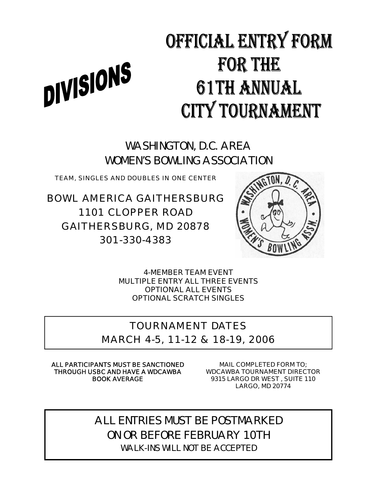# OFFICIAL ENTRY FORM **FOR THE** DIVISIONS 61TH ANNUAL **CITY TOURNAMENT**

WASHINGTON, D.C. AREA WOMEN'S BOWLING ASSOCIATION

TEAM, SINGLES AND DOUBLES IN ONE CENTER

BOWL AMERICA GAITHERSBURG 1101 CLOPPER ROAD GAITHERSBURG, MD 20878 301-330-4383



**4-MEMBER TEAM EVENT MULTIPLE ENTRY ALL THREE EVENTS OPTIONAL ALL EVENTS OPTIONAL SCRATCH SINGLES** 

## TOURNAMENT DATES

MARCH 4-5, 11-12 & 18-19, 2006

**ALL PARTICIPANTS MUST BE SANCTIONED THROUGH USBC AND HAVE A WDCAWBA BOOK AVERAGE** 

**MAIL COMPLETED FORM TO; WDCAWBA TOURNAMENT DIRECTOR 9315 LARGO DR WEST , SUITE 110 LARGO, MD 20774** 

ALL ENTRIES MUST BE POSTMARKED ON OR BEFORE FEBRUARY 10TH WALK-INS WILL NOT BE ACCEPTED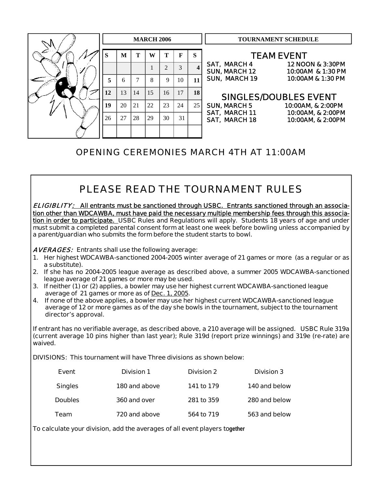

## OPENING CEREMONIES MARCH 4TH AT 11:00AM

## PLEASE READ THE TOURNAMENT RULES

ELIGIBLITY: **All entrants must be sanctioned through USBC. Entrants sanctioned through an association other than WDCAWBA, must have paid the necessary multiple membership fees through this association in order to participate. USBC Rules and Regulations will apply. Students 18 years of age and under must submit a completed parental consent form at least one week before bowling unless accompanied by a parent/guardian who submits the form before the student starts to bowl.** 

AVERAGES: **Entrants shall use the following average:** 

- **1. Her highest WDCAWBA-sanctioned 2004-2005 winter average of 21 games or more (as a regular or as a substitute).**
- **2. If she has no 2004-2005 league average as described above, a summer 2005 WDCAWBA-sanctioned league average of 21 games or more may be used.**
- **3. If neither (1) or (2) applies, a bowler may use her highest current WDCAWBA-sanctioned league average of 21 games or more as of Dec. 1, 2005.**
- **4. If none of the above applies, a bowler may use her highest current WDCAWBA-sanctioned league average of 12 or more games as of the day she bowls in the tournament, subject to the tournament director's approval.**

**If entrant has no verifiable average, as described above, a 210 average will be assigned. USBC Rule 319a (current average 10 pins higher than last year); Rule 319d (report prize winnings) and 319e (re-rate) are waived.** 

**DIVISIONS: This tournament will have Three divisions as shown below:** 

| Event          | <b>Division 1</b> | <b>Division 2</b> | <b>Division 3</b> |
|----------------|-------------------|-------------------|-------------------|
| <b>Singles</b> | 180 and above     | 141 to 179        | 140 and below     |
| <b>Doubles</b> | 360 and over      | 281 to 359        | 280 and below     |
| Team           | 720 and above     | 564 to 719        | 563 and below     |

**To calculate your division, add the averages of all event players together**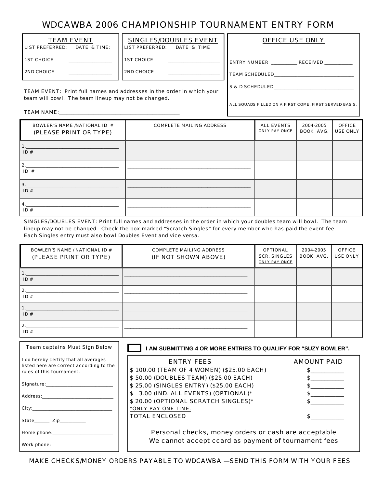## WDCAWBA 2006 CHAMPIONSHIP TOURNAMENT ENTRY FORM

| <b>TEAM EVENT</b><br>l LIST PREFERRED:<br>DATE & TIME: | <b>SINGLES/DOUBLES EVENT</b><br><b>LIST PREFERRED:</b><br>DATE & TIME | <b>OFFICE USE ONLY</b>                 |
|--------------------------------------------------------|-----------------------------------------------------------------------|----------------------------------------|
| <b>1ST CHOICE</b>                                      | <b>1ST CHOICE</b>                                                     | <b>ENTRY NUMBER</b><br><b>RECEIVED</b> |
| I 2ND CHOICE                                           | <b>2ND CHOICE</b>                                                     | <b>TEAM SCHEDULED</b>                  |
|                                                        | TEAM EVENT: Print full names and addresses in the order in which your | <b>S &amp; D SCHEDULED</b>             |

ALL SQUADS FILLED ON A FIRST COME, FIRST SERVED BASIS.

team will bowl. The team lineup may not be changed.

TEAM NAME:\_\_\_\_\_\_\_\_\_\_\_\_\_\_\_\_\_\_\_\_\_\_\_\_\_\_\_\_\_\_\_\_\_\_\_\_\_\_\_\_\_\_\_\_\_\_\_\_\_

| <b>BOWLER'S NAME /NATIONAL ID #</b><br>(PLEASE PRINT OR TYPE) | <b>COMPLETE MAILING ADDRESS</b> | <b>ALL EVENTS</b><br><b>ONLY PAY ONCE</b> | 2004-2005<br><b>BOOK AVG.</b> | <b>OFFICE</b><br>USE ONLY |
|---------------------------------------------------------------|---------------------------------|-------------------------------------------|-------------------------------|---------------------------|
| ID#                                                           |                                 |                                           |                               |                           |
| 2.<br>ID#                                                     |                                 |                                           |                               |                           |
| 3.<br>ID#                                                     |                                 |                                           |                               |                           |
| 4.<br>ID#                                                     |                                 |                                           |                               |                           |

SINGLES/DOUBLES EVENT: Print full names and addresses in the order in which your doubles team will bowl. The team lineup may not be changed. Check the box marked "Scratch Singles" for every member who has paid the event fee. Each Singles entry must also bowl Doubles Event and vice versa.

| <b>BOWLER'S NAME / NATIONAL ID #</b><br>(PLEASE PRINT OR TYPE) | <b>COMPLETE MAILING ADDRESS</b><br>(IF NOT SHOWN ABOVE) | <b>OPTIONAL</b><br><b>SCR. SINGLES</b><br><b>ONLY PAY ONCE</b> | 2004-2005<br><b>BOOK AVG.</b> | <b>OFFICE</b><br><b>USE ONLY</b> |
|----------------------------------------------------------------|---------------------------------------------------------|----------------------------------------------------------------|-------------------------------|----------------------------------|
| ID#                                                            |                                                         |                                                                |                               |                                  |
| $\mathbf{2}$<br>ID#                                            |                                                         |                                                                |                               |                                  |
| ID#                                                            |                                                         |                                                                |                               |                                  |
| 2.<br>ID#                                                      |                                                         |                                                                |                               |                                  |

| <b>Team captains Must Sign Below</b>                                                                           | AM SUBMITTING 4 OR MORE ENTRIES TO QUALIFY FOR "SUZY BOWLER".                                       |                    |  |
|----------------------------------------------------------------------------------------------------------------|-----------------------------------------------------------------------------------------------------|--------------------|--|
| I do hereby certify that all averages<br>listed here are correct according to the<br>rules of this tournament. | <b>ENTRY FEES</b><br>\$100.00 (TEAM OF 4 WOMEN) (\$25.00 EACH)                                      | <b>AMOUNT PAID</b> |  |
| Signature: Signature:                                                                                          | \$50.00 (DOUBLES TEAM) (\$25.00 EACH)<br>\$25.00 (SINGLES ENTRY) (\$25.00 EACH)                     |                    |  |
| Address:____________<br>City:                                                                                  | \$ 3.00 (IND. ALL EVENTS) (OPTIONAL)*<br>\$20.00 (OPTIONAL SCRATCH SINGLES)*<br>*ONLY PAY ONE TIME. |                    |  |
| State Zip                                                                                                      | <b>TOTAL ENCLOSED</b>                                                                               |                    |  |
| Home phone: National Management of Home phone:                                                                 | Personal checks, money orders or cash are acceptable                                                |                    |  |
| Work phone: Work                                                                                               | We cannot accept ccard as payment of tournament fees                                                |                    |  |

MAKE CHECKS/MONEY ORDERS PAYABLE TO WDCAWBA —SEND THIS FORM WITH YOUR FEES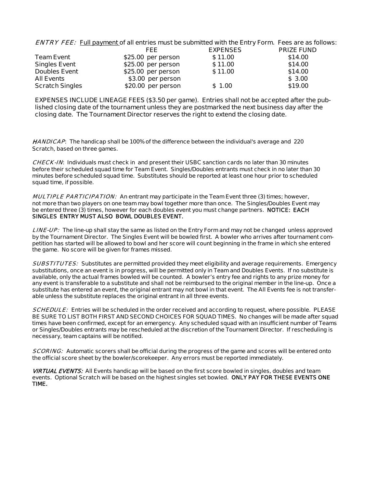| <b>ENTRY FEE:</b> Full payment of all entries must be submitted with the Entry Form. Fees are as follows: |  |
|-----------------------------------------------------------------------------------------------------------|--|
|-----------------------------------------------------------------------------------------------------------|--|

|                        | FEE                 | <b>EXPENSES</b> | <b>PRIZE FUND</b> |
|------------------------|---------------------|-----------------|-------------------|
| <b>Team Event</b>      | \$25.00 per person  | \$11.00         | \$14.00           |
| <b>Singles Event</b>   | $$25.00$ per person | \$11.00         | \$14.00           |
| <b>Doubles Event</b>   | \$25.00 per person  | \$11.00         | \$14.00           |
| <b>All Events</b>      | \$3.00 per person   |                 | \$3.00            |
| <b>Scratch Singles</b> | \$20.00 per person  | \$1.00          | \$19.00           |

**EXPENSES INCLUDE LINEAGE FEES (\$3.50 per game). Entries shall not be accepted after the published closing date of the tournament unless they are postmarked the next business day after the closing date. The Tournament Director reserves the right to extend the closing date.** 

HANDICAP: **The handicap shall be 100% of the difference between the individual's average and 220 Scratch, based on three games.** 

CHECK-IN**: Individuals must check in and present their USBC sanction cards no later than 30 minutes before their scheduled squad time for Team Event. Singles/Doubles entrants must check in no later than 30 minutes before scheduled squad time. Substitutes should be reported at least one hour prior to scheduled squad time, if possible.** 

MULTIPLE PARTICIPATION: **An entrant may participate in the Team Event three (3) times; however, not more than two players on one team may bowl together more than once. The Singles/Doubles Event may be entered three (3) times, however for each doubles event you must change partners. NOTICE: EACH SINGLES ENTRY MUST ALSO BOWL DOUBLES EVENT.** 

LINE-UP: **The line-up shall stay the same as listed on the Entry Form and may not be changed unless approved by the Tournament Director. The Singles Event will be bowled first. A bowler who arrives after tournament competition has started will be allowed to bowl and her score will count beginning in the frame in which she entered the game. No score will be given for frames missed.** 

SUBSTITUTES: **Substitutes are permitted provided they meet eligibility and average requirements. Emergency substitutions, once an event is in progress, will be permitted only in Team and Doubles Events. If no substitute is available, only the actual frames bowled will be counted. A bowler's entry fee and rights to any prize money for any event is transferable to a substitute and shall not be reimbursed to the original member in the line-up. Once a substitute has entered an event, the original entrant may not bowl in that event. The All Events fee is not transferable unless the substitute replaces the original entrant in all three events.** 

SCHEDULE: **Entries will be scheduled in the order received and according to request, where possible. PLEASE BE SURE TO LIST BOTH FIRST AND SECOND CHOICES FOR SQUAD TIMES. No changes will be made after squad times have been confirmed, except for an emergency. Any scheduled squad with an insufficient number of Teams or Singles/Doubles entrants may be rescheduled at the discretion of the Tournament Director. If rescheduling is necessary, team captains will be notified.** 

SCORING: **Automatic scorers shall be official during the progress of the game and scores will be entered onto the official score sheet by the bowler/scorekeeper. Any errors must be reported immediately.** 

**VIRTUAL EVENTS: All Events handicap will be based on the first score bowled in singles, doubles and team events. Optional Scratch will be based on the highest singles set bowled. ONLY PAY FOR THESE EVENTS ONE TIME.**